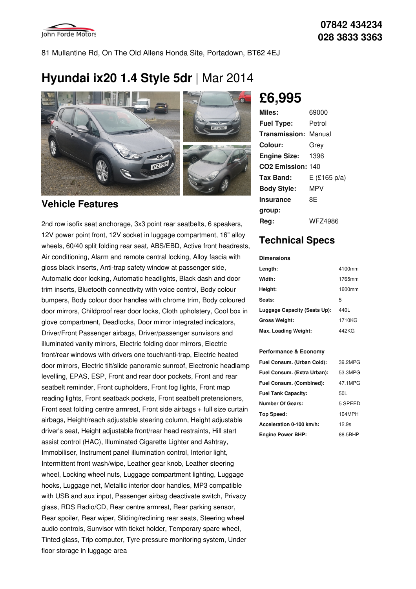

81 Mullantine Rd, On The Old Allens Honda Site, Portadown, BT62 4EJ

# **Hyundai ix20 1.4 Style 5dr** |Mar 2014



### **Vehicle Features**

2nd row isofix seat anchorage, 3x3 point rear seatbelts, 6 speakers, 12V power point front, 12V socket in luggage compartment, 16" alloy wheels, 60/40 split folding rear seat, ABS/EBD, Active front headrests, Air conditioning, Alarm and remote central locking, Alloy fascia with gloss black inserts, Anti-trap safety window at passenger side, Automatic door locking, Automatic headlights, Black dash and door trim inserts, Bluetooth connectivity with voice control, Body colour bumpers, Body colour door handles with chrome trim, Body coloured door mirrors, Childproof rear door locks, Cloth upholstery, Cool box in glove compartment, Deadlocks, Door mirror integrated indicators, Driver/Front Passenger airbags, Driver/passenger sunvisors and illuminated vanity mirrors, Electric folding door mirrors, Electric front/rear windows with drivers one touch/anti-trap, Electric heated door mirrors, Electric tilt/slide panoramic sunroof, Electronic headlamp levelling, EPAS, ESP, Front and rear door pockets, Front and rear seatbelt reminder, Front cupholders, Front fog lights, Front map reading lights, Front seatback pockets, Front seatbelt pretensioners, Front seat folding centre armrest, Front side airbags + full size curtain airbags, Height/reach adjustable steering column, Height adjustable driver's seat, Height adjustable front/rear head restraints, Hill start assist control (HAC), Illuminated Cigarette Lighter and Ashtray, Immobiliser, Instrument panel illumination control, Interior light, Intermittent front wash/wipe, Leather gear knob, Leather steering wheel, Locking wheel nuts, Luggage compartment lighting, Luggage hooks, Luggage net, Metallic interior door handles, MP3 compatible with USB and aux input, Passenger airbag deactivate switch, Privacy glass, RDS Radio/CD, Rear centre armrest, Rear parking sensor, Rear spoiler, Rear wiper, Sliding/reclining rear seats, Steering wheel audio controls, Sunvisor with ticket holder, Temporary spare wheel, Tinted glass, Trip computer, Tyre pressure monitoring system, Under floor storage in luggage area

**£6,995**

| Miles:                        | 69000        |
|-------------------------------|--------------|
| <b>Fuel Type:</b>             | Petrol       |
| <b>Transmission: Manual</b>   |              |
| Colour:                       | Grey         |
| <b>Engine Size:</b>           | 1396         |
| CO <sub>2</sub> Emission: 140 |              |
| Tax Band:                     | E (£165 p/a) |
| <b>Body Style:</b>            | MPV          |
| Insurance                     | 8E           |
| group:                        |              |
| Reg:                          | WFZ4986      |

## **Technical Specs**

#### **Dimensions**

| Length:                      | 4100mm |
|------------------------------|--------|
| Width:                       | 1765mm |
| Height:                      | 1600mm |
| Seats:                       | 5      |
| Luggage Capacity (Seats Up): | 440L   |
| <b>Gross Weight:</b>         | 1710KG |
| Max. Loading Weight:         | 442KG  |

#### **Performance & Economy**

| Fuel Consum. (Urban Cold):  | 39.2MPG |
|-----------------------------|---------|
| Fuel Consum. (Extra Urban): | 53.3MPG |
| Fuel Consum. (Combined):    | 47.1MPG |
| <b>Fuel Tank Capacity:</b>  | 50L     |
| <b>Number Of Gears:</b>     | 5 SPEED |
| Top Speed:                  | 104MPH  |
| Acceleration 0-100 km/h:    | 12.9s   |
| <b>Engine Power BHP:</b>    | 88.5BHP |